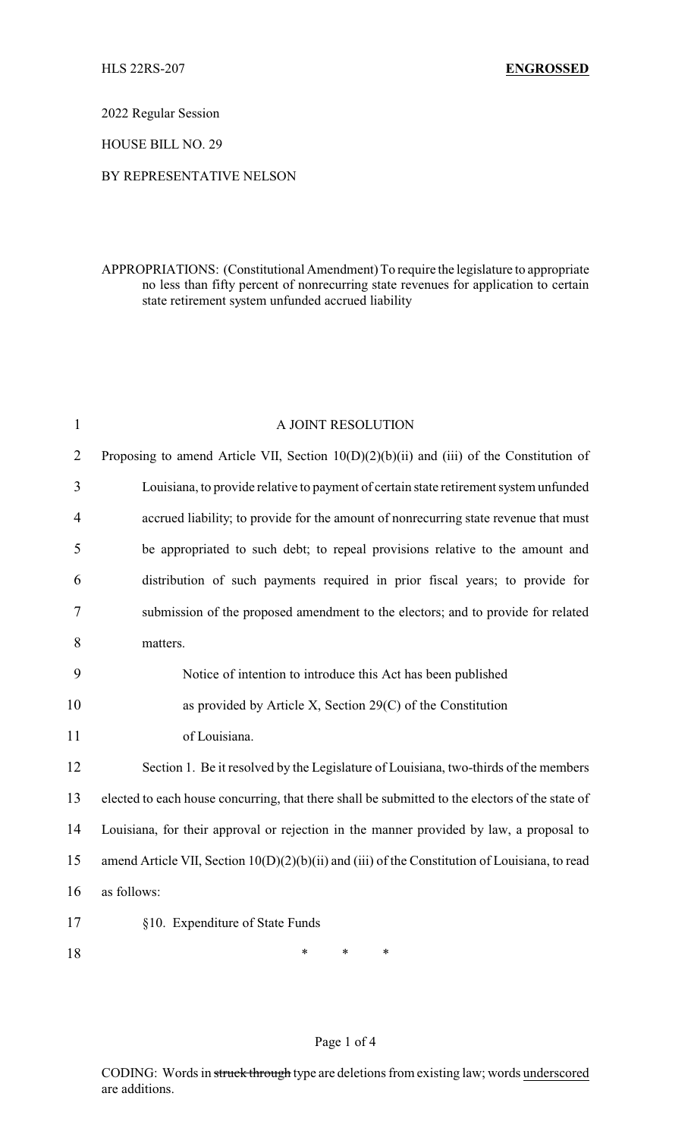2022 Regular Session

HOUSE BILL NO. 29

## BY REPRESENTATIVE NELSON

## APPROPRIATIONS: (Constitutional Amendment) To require the legislature to appropriate no less than fifty percent of nonrecurring state revenues for application to certain state retirement system unfunded accrued liability

| $\mathbf{1}$   | A JOINT RESOLUTION                                                                              |  |  |
|----------------|-------------------------------------------------------------------------------------------------|--|--|
| $\overline{2}$ | Proposing to amend Article VII, Section $10(D)(2)(b)(ii)$ and (iii) of the Constitution of      |  |  |
| 3              | Louisiana, to provide relative to payment of certain state retirement system unfunded           |  |  |
| $\overline{4}$ | accrued liability; to provide for the amount of nonrecurring state revenue that must            |  |  |
| 5              | be appropriated to such debt; to repeal provisions relative to the amount and                   |  |  |
| 6              | distribution of such payments required in prior fiscal years; to provide for                    |  |  |
| 7              | submission of the proposed amendment to the electors; and to provide for related                |  |  |
| 8              | matters.                                                                                        |  |  |
| 9              | Notice of intention to introduce this Act has been published                                    |  |  |
| 10             | as provided by Article X, Section $29(C)$ of the Constitution                                   |  |  |
| 11             | of Louisiana.                                                                                   |  |  |
| 12             | Section 1. Be it resolved by the Legislature of Louisiana, two-thirds of the members            |  |  |
| 13             | elected to each house concurring, that there shall be submitted to the electors of the state of |  |  |
| 14             | Louisiana, for their approval or rejection in the manner provided by law, a proposal to         |  |  |
| 15             | amend Article VII, Section 10(D)(2)(b)(ii) and (iii) of the Constitution of Louisiana, to read  |  |  |
| 16             | as follows:                                                                                     |  |  |
| 17             | §10. Expenditure of State Funds                                                                 |  |  |
| 18             | $\ast$<br>$\ast$<br>*                                                                           |  |  |

## Page 1 of 4

CODING: Words in struck through type are deletions from existing law; words underscored are additions.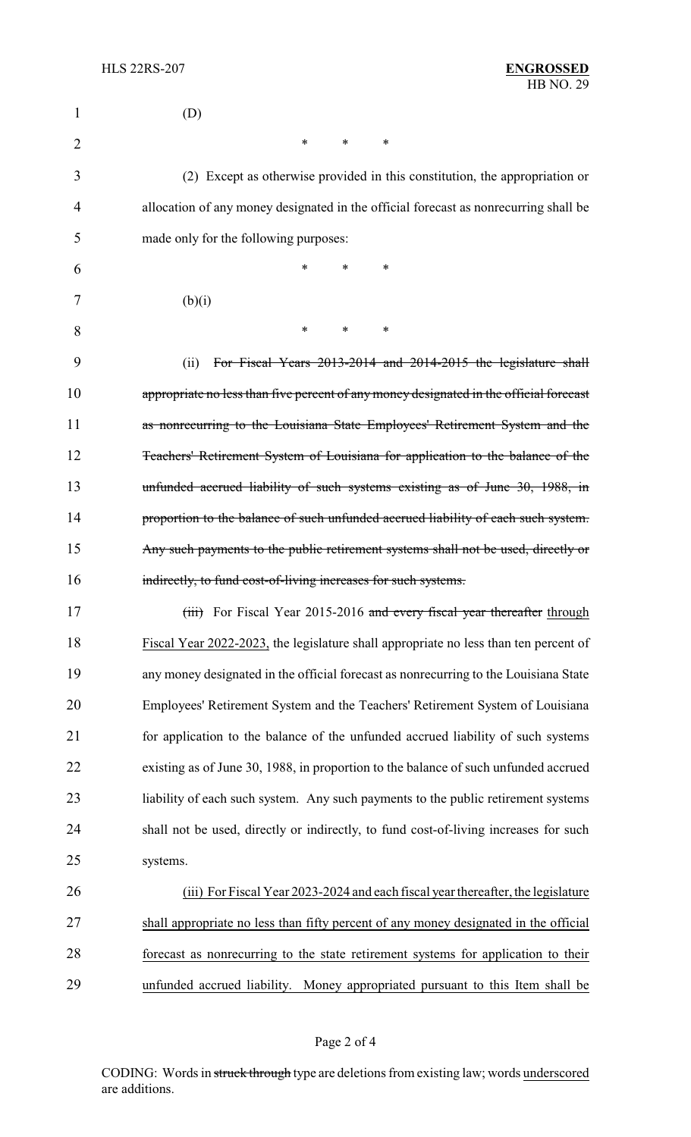| 1  | (D)                                                                                    |
|----|----------------------------------------------------------------------------------------|
| 2  | *<br>$\ast$<br>$\ast$                                                                  |
| 3  | (2) Except as otherwise provided in this constitution, the appropriation or            |
| 4  | allocation of any money designated in the official forecast as nonrecurring shall be   |
| 5  | made only for the following purposes:                                                  |
| 6  | $\ast$<br>*<br>*                                                                       |
| 7  | (b)(i)                                                                                 |
| 8  | $\ast$<br>*<br>∗                                                                       |
| 9  | For Fiscal Years 2013-2014 and 2014-2015 the legislature shall<br>(ii)                 |
| 10 | appropriate no less than five percent of any money designated in the official forecast |
| 11 | as nonrecurring to the Louisiana State Employees' Retirement System and the            |
| 12 | Teachers' Retirement System of Louisiana for application to the balance of the         |
| 13 | unfunded accrued liability of such systems existing as of June 30, 1988, in            |
| 14 | proportion to the balance of such unfunded accrued liability of each such system.      |
| 15 | Any such payments to the public retirement systems shall not be used, directly or      |
| 16 | indirectly, to fund cost-of-living increases for such systems.                         |
| 17 | (iii) For Fiscal Year 2015-2016 and every fiscal year thereafter through               |
| 18 | Fiscal Year 2022-2023, the legislature shall appropriate no less than ten percent of   |
| 19 | any money designated in the official forecast as nonrecurring to the Louisiana State   |
| 20 | Employees' Retirement System and the Teachers' Retirement System of Louisiana          |
| 21 | for application to the balance of the unfunded accrued liability of such systems       |
| 22 | existing as of June 30, 1988, in proportion to the balance of such unfunded accrued    |
| 23 | liability of each such system. Any such payments to the public retirement systems      |
| 24 | shall not be used, directly or indirectly, to fund cost-of-living increases for such   |
| 25 | systems.                                                                               |
| 26 | (iii) For Fiscal Year 2023-2024 and each fiscal year thereafter, the legislature       |
| 27 | shall appropriate no less than fifty percent of any money designated in the official   |
| 28 | forecast as nonrecurring to the state retirement systems for application to their      |
| 29 | unfunded accrued liability. Money appropriated pursuant to this Item shall be          |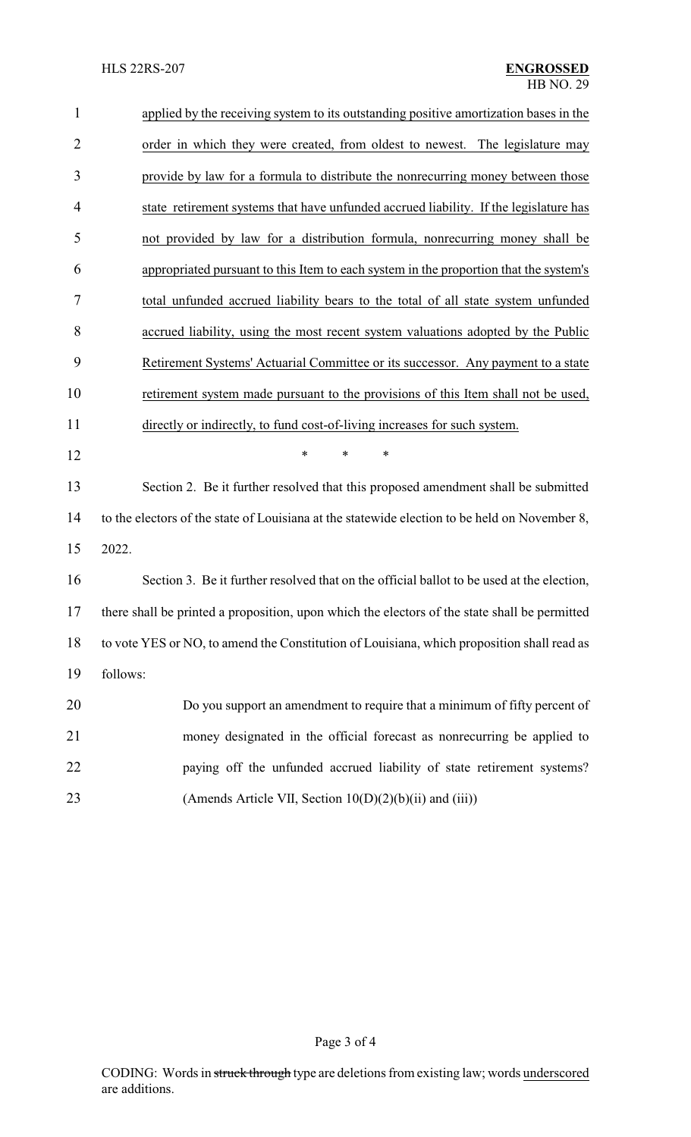| $\mathbf{1}$   | applied by the receiving system to its outstanding positive amortization bases in the         |  |  |
|----------------|-----------------------------------------------------------------------------------------------|--|--|
| $\overline{2}$ | order in which they were created, from oldest to newest. The legislature may                  |  |  |
| 3              | provide by law for a formula to distribute the nonrecurring money between those               |  |  |
| $\overline{4}$ | state retirement systems that have unfunded accrued liability. If the legislature has         |  |  |
| 5              | not provided by law for a distribution formula, nonrecurring money shall be                   |  |  |
| 6              | appropriated pursuant to this Item to each system in the proportion that the system's         |  |  |
| 7              | total unfunded accrued liability bears to the total of all state system unfunded              |  |  |
| 8              | accrued liability, using the most recent system valuations adopted by the Public              |  |  |
| 9              | Retirement Systems' Actuarial Committee or its successor. Any payment to a state              |  |  |
| 10             | retirement system made pursuant to the provisions of this Item shall not be used,             |  |  |
| 11             | directly or indirectly, to fund cost-of-living increases for such system.                     |  |  |
| 12             | *<br>*<br>$\ast$                                                                              |  |  |
| 13             | Section 2. Be it further resolved that this proposed amendment shall be submitted             |  |  |
| 14             | to the electors of the state of Louisiana at the statewide election to be held on November 8, |  |  |
| 15             | 2022.                                                                                         |  |  |
| 16             | Section 3. Be it further resolved that on the official ballot to be used at the election,     |  |  |
| 17             | there shall be printed a proposition, upon which the electors of the state shall be permitted |  |  |
| 18             | to vote YES or NO, to amend the Constitution of Louisiana, which proposition shall read as    |  |  |
| 19             | follows:                                                                                      |  |  |
| 20             | Do you support an amendment to require that a minimum of fifty percent of                     |  |  |
| 21             | money designated in the official forecast as nonrecurring be applied to                       |  |  |
| $22\,$         | paying off the unfunded accrued liability of state retirement systems?                        |  |  |
| 23             | (Amends Article VII, Section $10(D)(2)(b)(ii)$ and $(iii)$ )                                  |  |  |